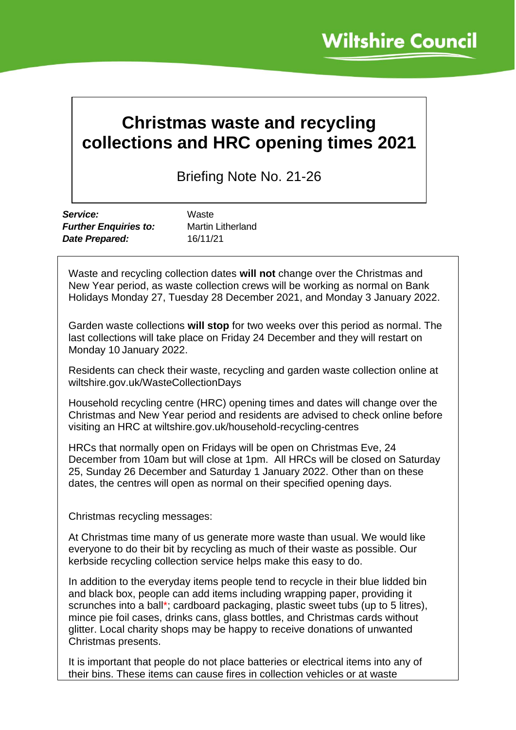## **Christmas waste and recycling collections and HRC opening times 2021**

Briefing Note No. 21-26

| Service:                     | Waste                    |
|------------------------------|--------------------------|
| <b>Further Enquiries to:</b> | <b>Martin Litherland</b> |
| Date Prepared:               | 16/11/21                 |

Waste and recycling collection dates **will not** change over the Christmas and New Year period, as waste collection crews will be working as normal on Bank Holidays Monday 27, Tuesday 28 December 2021, and Monday 3 January 2022.

Garden waste collections **will stop** for two weeks over this period as normal. The last collections will take place on Friday 24 December and they will restart on Monday 10 January 2022.

Residents can check their waste, recycling and garden waste collection online at wiltshire.gov.uk/WasteCollectionDays

Household recycling centre (HRC) opening times and dates will change over the Christmas and New Year period and residents are advised to check online before visiting an HRC at wiltshire.gov.uk/household-recycling-centres

HRCs that normally open on Fridays will be open on Christmas Eve, 24 December from 10am but will close at 1pm. All HRCs will be closed on Saturday 25, Sunday 26 December and Saturday 1 January 2022. Other than on these dates, the centres will open as normal on their specified opening days.

Christmas recycling messages:

At Christmas time many of us generate more waste than usual. We would like everyone to do their bit by recycling as much of their waste as possible. Our kerbside recycling collection service helps make this easy to do.

In addition to the everyday items people tend to recycle in their blue lidded bin and black box, people can add items including wrapping paper, providing it scrunches into a ball\*; cardboard packaging, plastic sweet tubs (up to 5 litres), mince pie foil cases, drinks cans, glass bottles, and Christmas cards without glitter. Local charity shops may be happy to receive donations of unwanted Christmas presents.

It is important that people do not place batteries or electrical items into any of their bins. These items can cause fires in collection vehicles or at waste